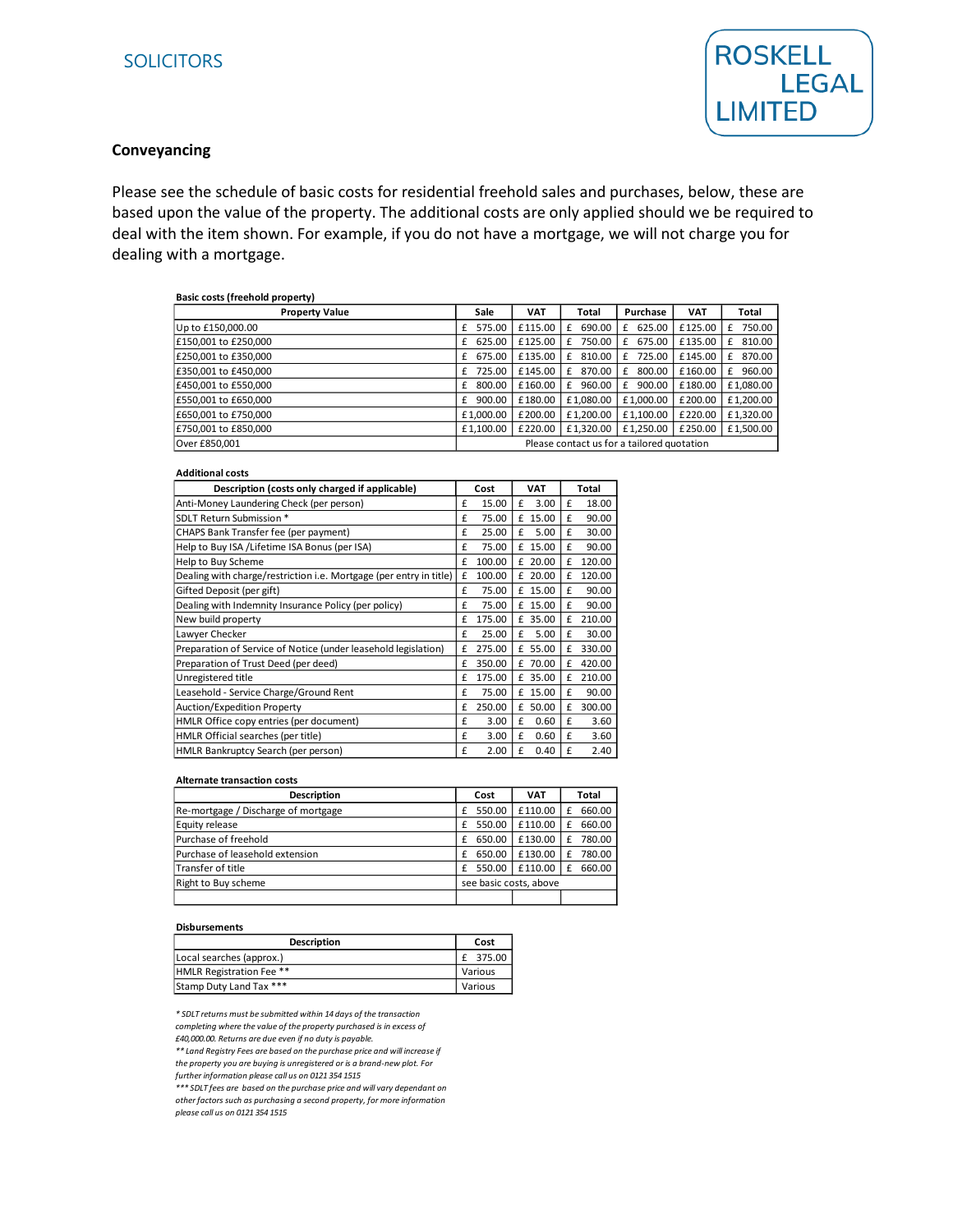

#### **Conveyancing**

Please see the schedule of basic costs for residential freehold sales and purchases, below, these are based upon the value of the property. The additional costs are only applied should we be required to deal with the item shown. For example, if you do not have a mortgage, we will not charge you for dealing with a mortgage.

| Basic costs (freehold property) |                                            |            |             |             |            |             |
|---------------------------------|--------------------------------------------|------------|-------------|-------------|------------|-------------|
| <b>Property Value</b>           | Sale                                       | <b>VAT</b> | Total       | Purchase    | <b>VAT</b> | Total       |
| Up to £150,000.00               | 575.00                                     | £115.00    | 690.00<br>£ | 625.00<br>£ | £125.00    | 750.00<br>£ |
| £150,001 to £250,000            | 625.00<br>£                                | £125.00    | 750.00<br>£ | 675.00<br>£ | £135.00    | 810.00<br>£ |
| £250,001 to £350,000            | 675.00<br>£                                | £135.00    | 810.00<br>£ | 725.00<br>£ | £145.00    | 870.00<br>£ |
| £350,001 to £450,000            | 725.00<br>£                                | £145.00    | 870.00<br>£ | 800.00<br>£ | £160.00    | 960.00<br>£ |
| £450,001 to £550,000            | 800.00<br>£                                | £160.00    | 960.00<br>f | 900.00<br>£ | £180.00    | £1,080.00   |
| £550.001 to £650.000            | 900.00<br>£                                | £180.00    | £1.080.00   | £1.000.00   | £200.00    | £1,200.00   |
| £650,001 to £750,000            | £1.000.00                                  | £200.00    | £1.200.00   | £1.100.00   | £220.00    | £1.320.00   |
| £750,001 to £850,000            | £1.100.00                                  | £220.00    | £1.320.00   | £1.250.00   | £250.00    | £1,500.00   |
| Over £850.001                   | Please contact us for a tailored quotation |            |             |             |            |             |

#### **Additional costs**

| Description (costs only charged if applicable)                     |   | Cost   |   | <b>VAT</b> |   | Total  |
|--------------------------------------------------------------------|---|--------|---|------------|---|--------|
| Anti-Money Laundering Check (per person)                           | £ | 15.00  | £ | 3.00       | £ | 18.00  |
| SDLT Return Submission *                                           | £ | 75.00  |   | £ 15.00    | £ | 90.00  |
| CHAPS Bank Transfer fee (per payment)                              | £ | 25.00  | £ | 5.00       | £ | 30.00  |
| Help to Buy ISA /Lifetime ISA Bonus (per ISA)                      | £ | 75.00  |   | £ 15.00    | £ | 90.00  |
| Help to Buy Scheme                                                 | £ | 100.00 |   | $£$ 20.00  | £ | 120.00 |
| Dealing with charge/restriction i.e. Mortgage (per entry in title) | £ | 100.00 |   | $£$ 20.00  | £ | 120.00 |
| Gifted Deposit (per gift)                                          | £ | 75.00  |   | £ 15.00    | £ | 90.00  |
| Dealing with Indemnity Insurance Policy (per policy)               | £ | 75.00  |   | £ 15.00    | £ | 90.00  |
| New build property                                                 | £ | 175.00 |   | £ 35.00    | £ | 210.00 |
| Lawyer Checker                                                     | £ | 25.00  | £ | 5.00       | £ | 30.00  |
| Preparation of Service of Notice (under leasehold legislation)     | £ | 275.00 |   | £ 55.00    | £ | 330.00 |
| Preparation of Trust Deed (per deed)                               | £ | 350.00 |   | £ 70.00    | £ | 420.00 |
| Unregistered title                                                 | £ | 175.00 |   | £ 35.00    | £ | 210.00 |
| Leasehold - Service Charge/Ground Rent                             | £ | 75.00  |   | £ 15.00    | £ | 90.00  |
| Auction/Expedition Property                                        | £ | 250.00 |   | £ 50.00    | £ | 300.00 |
| HMLR Office copy entries (per document)                            | £ | 3.00   | £ | 0.60       | £ | 3.60   |
| HMLR Official searches (per title)                                 | £ | 3.00   | £ | 0.60       | £ | 3.60   |
| HMLR Bankruptcy Search (per person)                                | £ | 2.00   | £ | 0.40       | £ | 2.40   |

#### **Alternate transaction costs**

| <b>Description</b>                  | Cost                   | <b>VAT</b> | Total |        |
|-------------------------------------|------------------------|------------|-------|--------|
| Re-mortgage / Discharge of mortgage | 550.00                 | £110.00    |       | 660.00 |
| Equity release                      | 550.00                 | £110.00    |       | 660.00 |
| Purchase of freehold                | 650.00                 | £130.00    |       | 780.00 |
| Purchase of leasehold extension     | 650.00<br>f            | £130.00    |       | 780.00 |
| Transfer of title                   | 550.00                 | £110.00    |       | 660.00 |
| Right to Buy scheme                 | see basic costs, above |            |       |        |
|                                     |                        |            |       |        |

#### **Disbursements**

| Description                     | Cost     |
|---------------------------------|----------|
| Local searches (approx.)        | £ 375.00 |
| <b>HMLR Registration Fee **</b> | Various  |
| Stamp Duty Land Tax ***         | Various  |

*\* SDLT returns must be submitted within 14 days of the transaction completing where the value of the property purchased is in excess of £40,000.00. Returns are due even if no duty is payable.* 

*\*\* Land Registry Fees are based on the purchase price and will increase if the property you are buying is unregistered or is a brand-new plot. For* 

*further information please call us on 0121 354 1515*

*\*\*\* SDLT fees are based on the purchase price and will vary dependant on other factors such as purchasing a second property, for more information please call us on 0121 354 1515*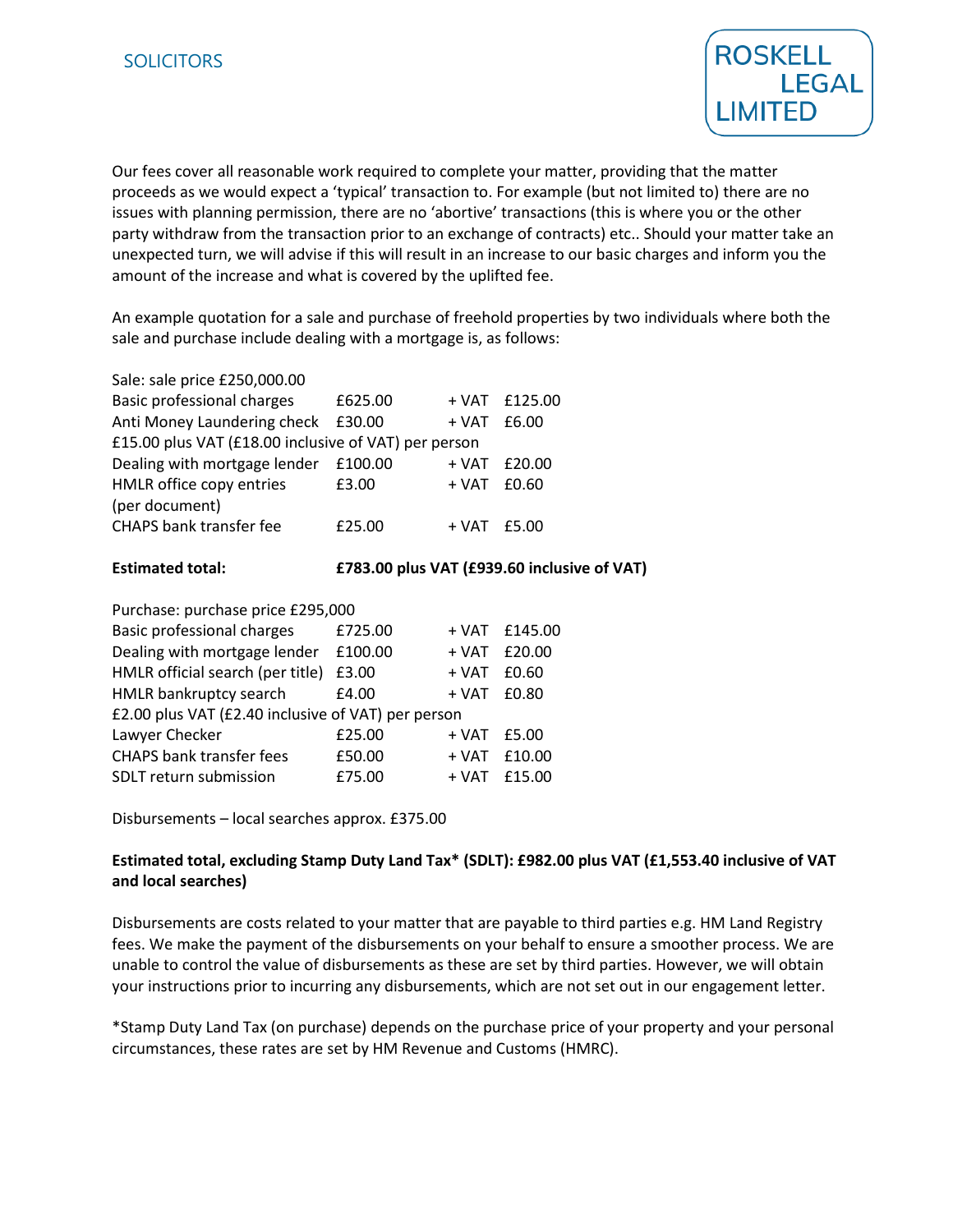

Our fees cover all reasonable work required to complete your matter, providing that the matter proceeds as we would expect a 'typical' transaction to. For example (but not limited to) there are no issues with planning permission, there are no 'abortive' transactions (this is where you or the other party withdraw from the transaction prior to an exchange of contracts) etc.. Should your matter take an unexpected turn, we will advise if this will result in an increase to our basic charges and inform you the amount of the increase and what is covered by the uplifted fee.

An example quotation for a sale and purchase of freehold properties by two individuals where both the sale and purchase include dealing with a mortgage is, as follows:

| Sale: sale price £250,000.00                         |         |                 |                 |
|------------------------------------------------------|---------|-----------------|-----------------|
| <b>Basic professional charges</b>                    | £625.00 |                 | $+ VAT$ £125.00 |
| Anti Money Laundering check                          | £30.00  | + VAT           | £6.00           |
| £15.00 plus VAT (£18.00 inclusive of VAT) per person |         |                 |                 |
| Dealing with mortgage lender                         | £100.00 | + VAT           | £20.00          |
| HMLR office copy entries                             | £3.00   | + VAT           | £0.60           |
| (per document)                                       |         |                 |                 |
| <b>CHAPS bank transfer fee</b>                       | £25.00  | $+ VAT$ $f5.00$ |                 |
|                                                      |         |                 |                 |

### **Estimated total: £783.00 plus VAT (£939.60 inclusive of VAT)**

| Purchase: purchase price £295,000                  |         |       |               |  |  |
|----------------------------------------------------|---------|-------|---------------|--|--|
| <b>Basic professional charges</b>                  | £725.00 |       | + VAT £145.00 |  |  |
| Dealing with mortgage lender                       | £100.00 | + VAT | £20.00        |  |  |
| HMLR official search (per title)                   | £3.00   | + VAT | £0.60         |  |  |
| HMLR bankruptcy search                             | £4.00   | + VAT | £0.80         |  |  |
| £2.00 plus VAT (£2.40 inclusive of VAT) per person |         |       |               |  |  |
| Lawyer Checker                                     | £25.00  | + VAT | £5.00         |  |  |
| <b>CHAPS bank transfer fees</b>                    | £50.00  | + VAT | £10.00        |  |  |
| SDLT return submission                             | £75.00  | + VAT | £15.00        |  |  |

Disbursements – local searches approx. £375.00

# **Estimated total, excluding Stamp Duty Land Tax\* (SDLT): £982.00 plus VAT (£1,553.40 inclusive of VAT and local searches)**

Disbursements are costs related to your matter that are payable to third parties e.g. HM Land Registry fees. We make the payment of the disbursements on your behalf to ensure a smoother process. We are unable to control the value of disbursements as these are set by third parties. However, we will obtain your instructions prior to incurring any disbursements, which are not set out in our engagement letter.

\*Stamp Duty Land Tax (on purchase) depends on the purchase price of your property and your personal circumstances, these rates are set by HM Revenue and Customs (HMRC).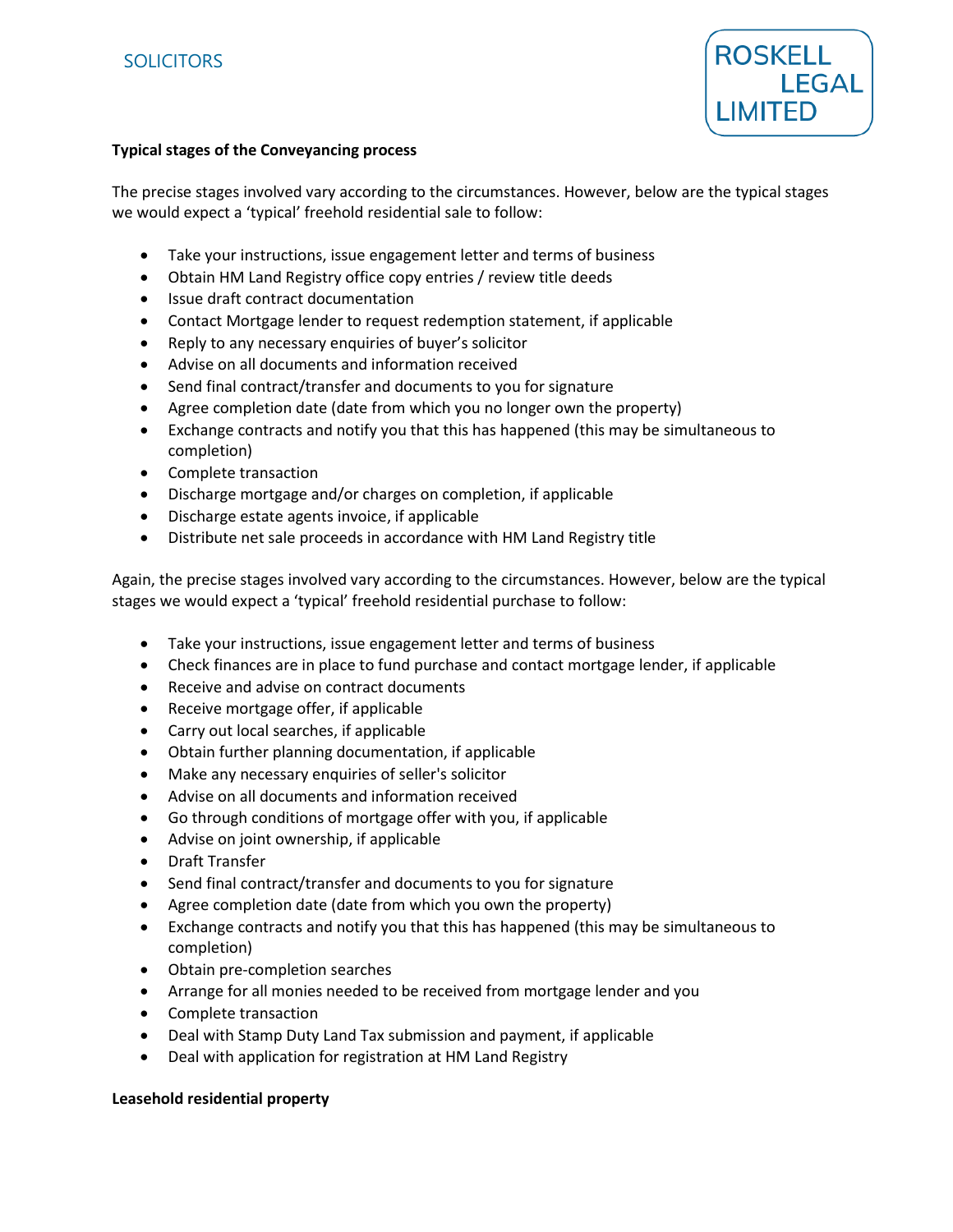

## **Typical stages of the Conveyancing process**

The precise stages involved vary according to the circumstances. However, below are the typical stages we would expect a 'typical' freehold residential sale to follow:

- Take your instructions, issue engagement letter and terms of business
- Obtain HM Land Registry office copy entries / review title deeds
- Issue draft contract documentation
- Contact Mortgage lender to request redemption statement, if applicable
- Reply to any necessary enquiries of buyer's solicitor
- Advise on all documents and information received
- Send final contract/transfer and documents to you for signature
- Agree completion date (date from which you no longer own the property)
- Exchange contracts and notify you that this has happened (this may be simultaneous to completion)
- Complete transaction
- Discharge mortgage and/or charges on completion, if applicable
- Discharge estate agents invoice, if applicable
- Distribute net sale proceeds in accordance with HM Land Registry title

Again, the precise stages involved vary according to the circumstances. However, below are the typical stages we would expect a 'typical' freehold residential purchase to follow:

- Take your instructions, issue engagement letter and terms of business
- Check finances are in place to fund purchase and contact mortgage lender, if applicable
- Receive and advise on contract documents
- Receive mortgage offer, if applicable
- Carry out local searches, if applicable
- Obtain further planning documentation, if applicable
- Make any necessary enquiries of seller's solicitor
- Advise on all documents and information received
- Go through conditions of mortgage offer with you, if applicable
- Advise on joint ownership, if applicable
- Draft Transfer
- Send final contract/transfer and documents to you for signature
- Agree completion date (date from which you own the property)
- Exchange contracts and notify you that this has happened (this may be simultaneous to completion)
- Obtain pre-completion searches
- Arrange for all monies needed to be received from mortgage lender and you
- Complete transaction
- Deal with Stamp Duty Land Tax submission and payment, if applicable
- Deal with application for registration at HM Land Registry

#### **Leasehold residential property**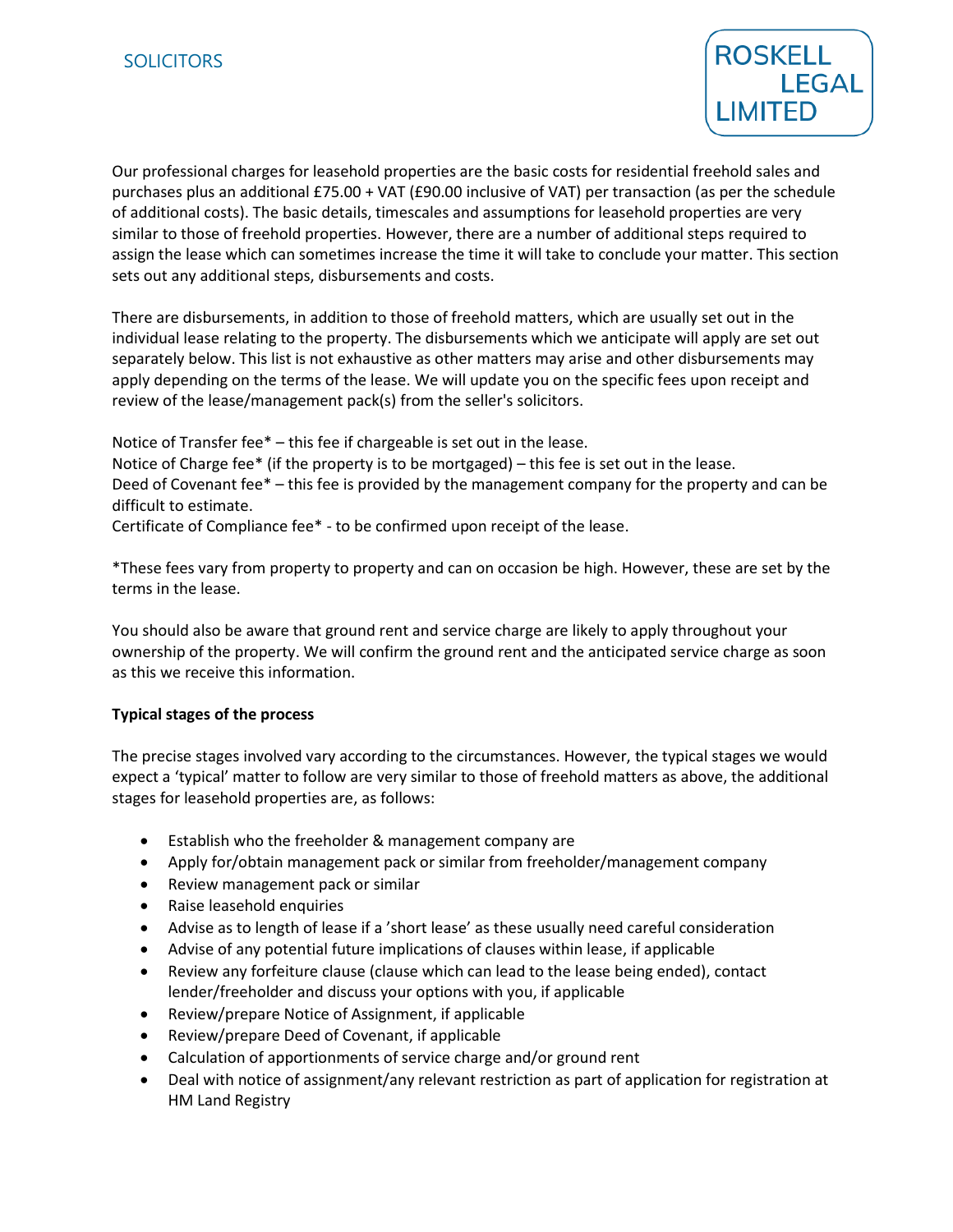

Our professional charges for leasehold properties are the basic costs for residential freehold sales and purchases plus an additional £75.00 + VAT (£90.00 inclusive of VAT) per transaction (as per the schedule of additional costs). The basic details, timescales and assumptions for leasehold properties are very similar to those of freehold properties. However, there are a number of additional steps required to assign the lease which can sometimes increase the time it will take to conclude your matter. This section sets out any additional steps, disbursements and costs.

There are disbursements, in addition to those of freehold matters, which are usually set out in the individual lease relating to the property. The disbursements which we anticipate will apply are set out separately below. This list is not exhaustive as other matters may arise and other disbursements may apply depending on the terms of the lease. We will update you on the specific fees upon receipt and review of the lease/management pack(s) from the seller's solicitors.

Notice of Transfer fee\* – this fee if chargeable is set out in the lease.

Notice of Charge fee\* (if the property is to be mortgaged) – this fee is set out in the lease. Deed of Covenant fee\* – this fee is provided by the management company for the property and can be difficult to estimate.

Certificate of Compliance fee\* - to be confirmed upon receipt of the lease.

\*These fees vary from property to property and can on occasion be high. However, these are set by the terms in the lease.

You should also be aware that ground rent and service charge are likely to apply throughout your ownership of the property. We will confirm the ground rent and the anticipated service charge as soon as this we receive this information.

# **Typical stages of the process**

The precise stages involved vary according to the circumstances. However, the typical stages we would expect a 'typical' matter to follow are very similar to those of freehold matters as above, the additional stages for leasehold properties are, as follows:

- Establish who the freeholder & management company are
- Apply for/obtain management pack or similar from freeholder/management company
- Review management pack or similar
- Raise leasehold enquiries
- Advise as to length of lease if a 'short lease' as these usually need careful consideration
- Advise of any potential future implications of clauses within lease, if applicable
- Review any forfeiture clause (clause which can lead to the lease being ended), contact lender/freeholder and discuss your options with you, if applicable
- Review/prepare Notice of Assignment, if applicable
- Review/prepare Deed of Covenant, if applicable
- Calculation of apportionments of service charge and/or ground rent
- Deal with notice of assignment/any relevant restriction as part of application for registration at HM Land Registry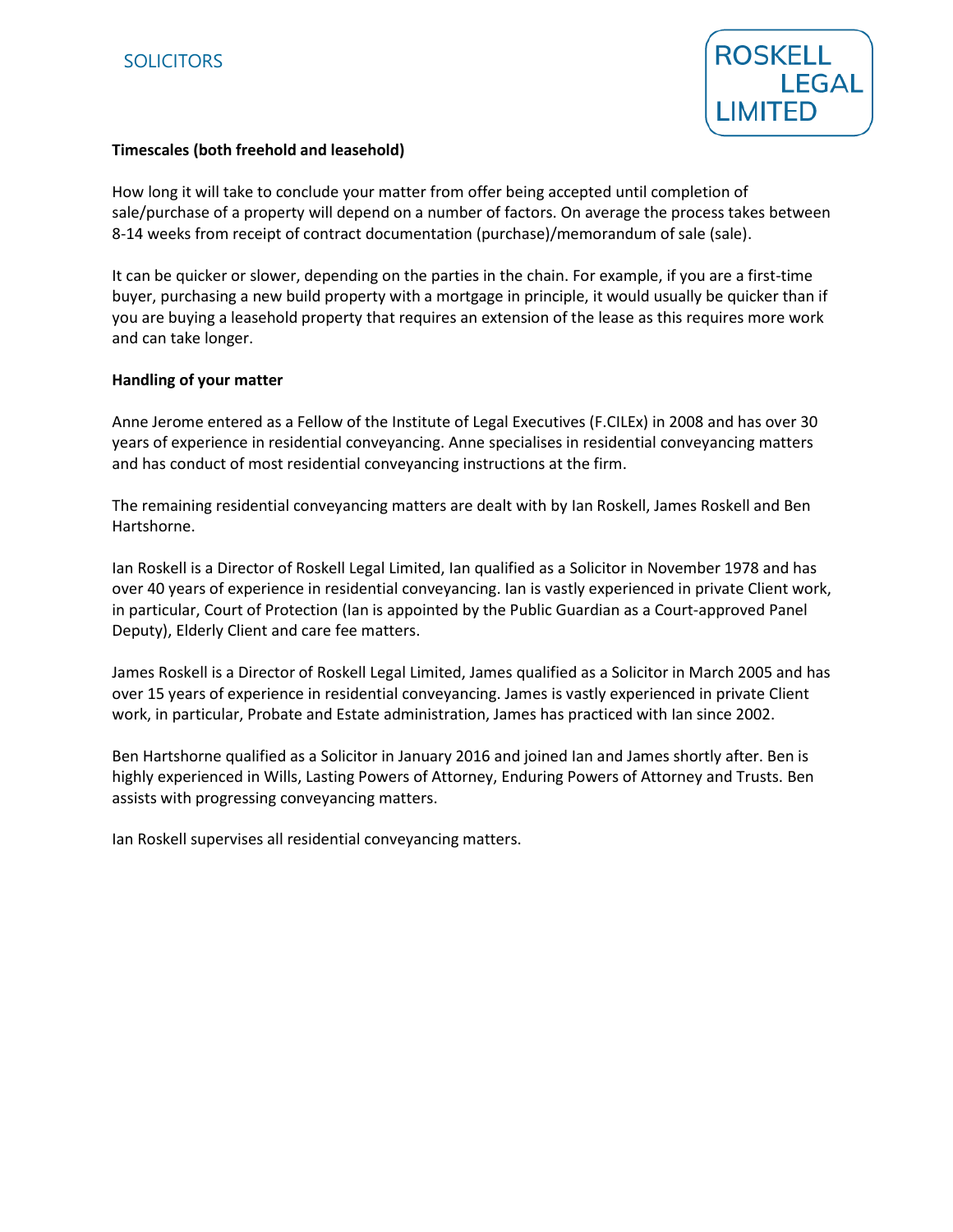

## **Timescales (both freehold and leasehold)**

How long it will take to conclude your matter from offer being accepted until completion of sale/purchase of a property will depend on a number of factors. On average the process takes between 8-14 weeks from receipt of contract documentation (purchase)/memorandum of sale (sale).

It can be quicker or slower, depending on the parties in the chain. For example, if you are a first-time buyer, purchasing a new build property with a mortgage in principle, it would usually be quicker than if you are buying a leasehold property that requires an extension of the lease as this requires more work and can take longer.

### **Handling of your matter**

Anne Jerome entered as a Fellow of the Institute of Legal Executives (F.CILEx) in 2008 and has over 30 years of experience in residential conveyancing. Anne specialises in residential conveyancing matters and has conduct of most residential conveyancing instructions at the firm.

The remaining residential conveyancing matters are dealt with by Ian Roskell, James Roskell and Ben Hartshorne.

Ian Roskell is a Director of Roskell Legal Limited, Ian qualified as a Solicitor in November 1978 and has over 40 years of experience in residential conveyancing. Ian is vastly experienced in private Client work, in particular, Court of Protection (Ian is appointed by the Public Guardian as a Court-approved Panel Deputy), Elderly Client and care fee matters.

James Roskell is a Director of Roskell Legal Limited, James qualified as a Solicitor in March 2005 and has over 15 years of experience in residential conveyancing. James is vastly experienced in private Client work, in particular, Probate and Estate administration, James has practiced with Ian since 2002.

Ben Hartshorne qualified as a Solicitor in January 2016 and joined Ian and James shortly after. Ben is highly experienced in Wills, Lasting Powers of Attorney, Enduring Powers of Attorney and Trusts. Ben assists with progressing conveyancing matters.

Ian Roskell supervises all residential conveyancing matters.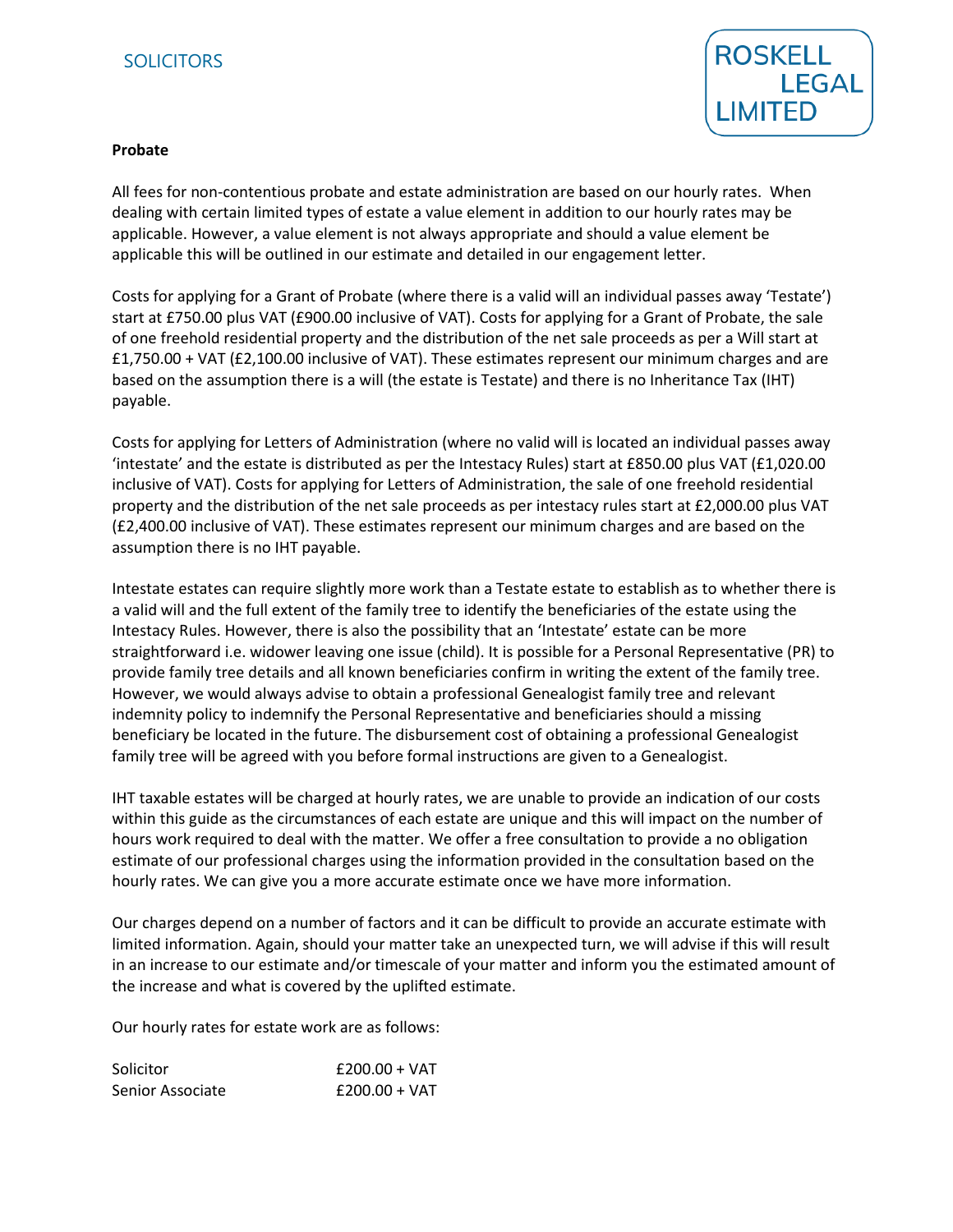# **SOLICITORS**



#### **Probate**

All fees for non-contentious probate and estate administration are based on our hourly rates. When dealing with certain limited types of estate a value element in addition to our hourly rates may be applicable. However, a value element is not always appropriate and should a value element be applicable this will be outlined in our estimate and detailed in our engagement letter.

Costs for applying for a Grant of Probate (where there is a valid will an individual passes away 'Testate') start at £750.00 plus VAT (£900.00 inclusive of VAT). Costs for applying for a Grant of Probate, the sale of one freehold residential property and the distribution of the net sale proceeds as per a Will start at £1,750.00 + VAT (£2,100.00 inclusive of VAT). These estimates represent our minimum charges and are based on the assumption there is a will (the estate is Testate) and there is no Inheritance Tax (IHT) payable.

Costs for applying for Letters of Administration (where no valid will is located an individual passes away 'intestate' and the estate is distributed as per the Intestacy Rules) start at £850.00 plus VAT (£1,020.00 inclusive of VAT). Costs for applying for Letters of Administration, the sale of one freehold residential property and the distribution of the net sale proceeds as per intestacy rules start at £2,000.00 plus VAT (£2,400.00 inclusive of VAT). These estimates represent our minimum charges and are based on the assumption there is no IHT payable.

Intestate estates can require slightly more work than a Testate estate to establish as to whether there is a valid will and the full extent of the family tree to identify the beneficiaries of the estate using the Intestacy Rules. However, there is also the possibility that an 'Intestate' estate can be more straightforward i.e. widower leaving one issue (child). It is possible for a Personal Representative (PR) to provide family tree details and all known beneficiaries confirm in writing the extent of the family tree. However, we would always advise to obtain a professional Genealogist family tree and relevant indemnity policy to indemnify the Personal Representative and beneficiaries should a missing beneficiary be located in the future. The disbursement cost of obtaining a professional Genealogist family tree will be agreed with you before formal instructions are given to a Genealogist.

IHT taxable estates will be charged at hourly rates, we are unable to provide an indication of our costs within this guide as the circumstances of each estate are unique and this will impact on the number of hours work required to deal with the matter. We offer a free consultation to provide a no obligation estimate of our professional charges using the information provided in the consultation based on the hourly rates. We can give you a more accurate estimate once we have more information.

Our charges depend on a number of factors and it can be difficult to provide an accurate estimate with limited information. Again, should your matter take an unexpected turn, we will advise if this will result in an increase to our estimate and/or timescale of your matter and inform you the estimated amount of the increase and what is covered by the uplifted estimate.

Our hourly rates for estate work are as follows:

| Solicitor        | $£200.00 + VAT$ |
|------------------|-----------------|
| Senior Associate | $£200.00 + VAT$ |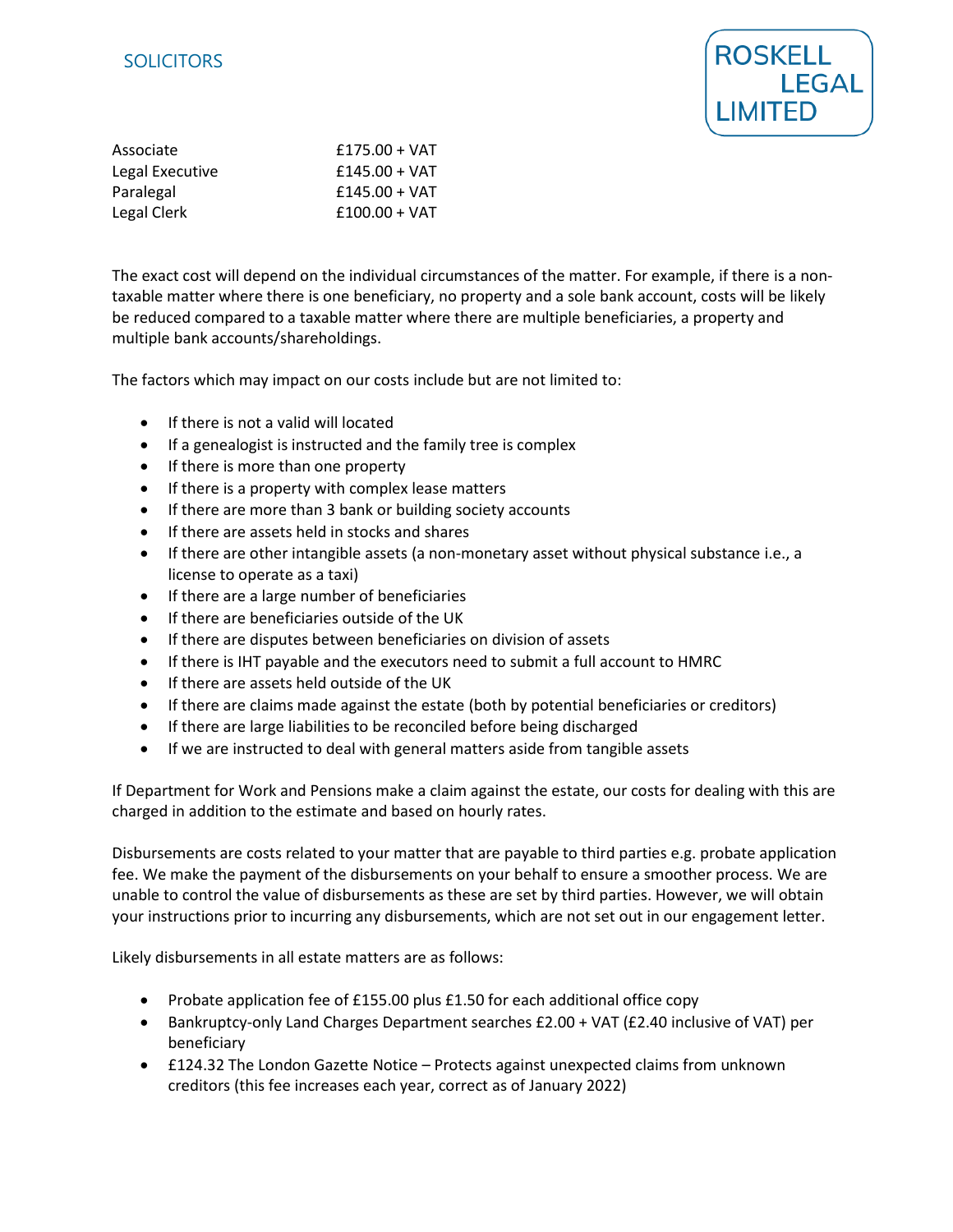# **SOLICITORS**



| Associate       | $£175.00 + VAT$ |
|-----------------|-----------------|
| Legal Executive | $£145.00 + VAT$ |
| Paralegal       | $£145.00 + VAT$ |
| Legal Clerk     | $£100.00 + VAT$ |

The exact cost will depend on the individual circumstances of the matter. For example, if there is a nontaxable matter where there is one beneficiary, no property and a sole bank account, costs will be likely be reduced compared to a taxable matter where there are multiple beneficiaries, a property and multiple bank accounts/shareholdings.

The factors which may impact on our costs include but are not limited to:

- If there is not a valid will located
- If a genealogist is instructed and the family tree is complex
- If there is more than one property
- If there is a property with complex lease matters
- If there are more than 3 bank or building society accounts
- If there are assets held in stocks and shares
- If there are other intangible assets (a non-monetary asset without physical substance i.e., a license to operate as a taxi)
- If there are a large number of beneficiaries
- If there are beneficiaries outside of the UK
- If there are disputes between beneficiaries on division of assets
- If there is IHT payable and the executors need to submit a full account to HMRC
- If there are assets held outside of the UK
- If there are claims made against the estate (both by potential beneficiaries or creditors)
- If there are large liabilities to be reconciled before being discharged
- If we are instructed to deal with general matters aside from tangible assets

If Department for Work and Pensions make a claim against the estate, our costs for dealing with this are charged in addition to the estimate and based on hourly rates.

Disbursements are costs related to your matter that are payable to third parties e.g. probate application fee. We make the payment of the disbursements on your behalf to ensure a smoother process. We are unable to control the value of disbursements as these are set by third parties. However, we will obtain your instructions prior to incurring any disbursements, which are not set out in our engagement letter.

Likely disbursements in all estate matters are as follows:

- Probate application fee of £155.00 plus £1.50 for each additional office copy
- Bankruptcy-only Land Charges Department searches £2.00 + VAT (£2.40 inclusive of VAT) per beneficiary
- £124.32 The London Gazette Notice Protects against unexpected claims from unknown creditors (this fee increases each year, correct as of January 2022)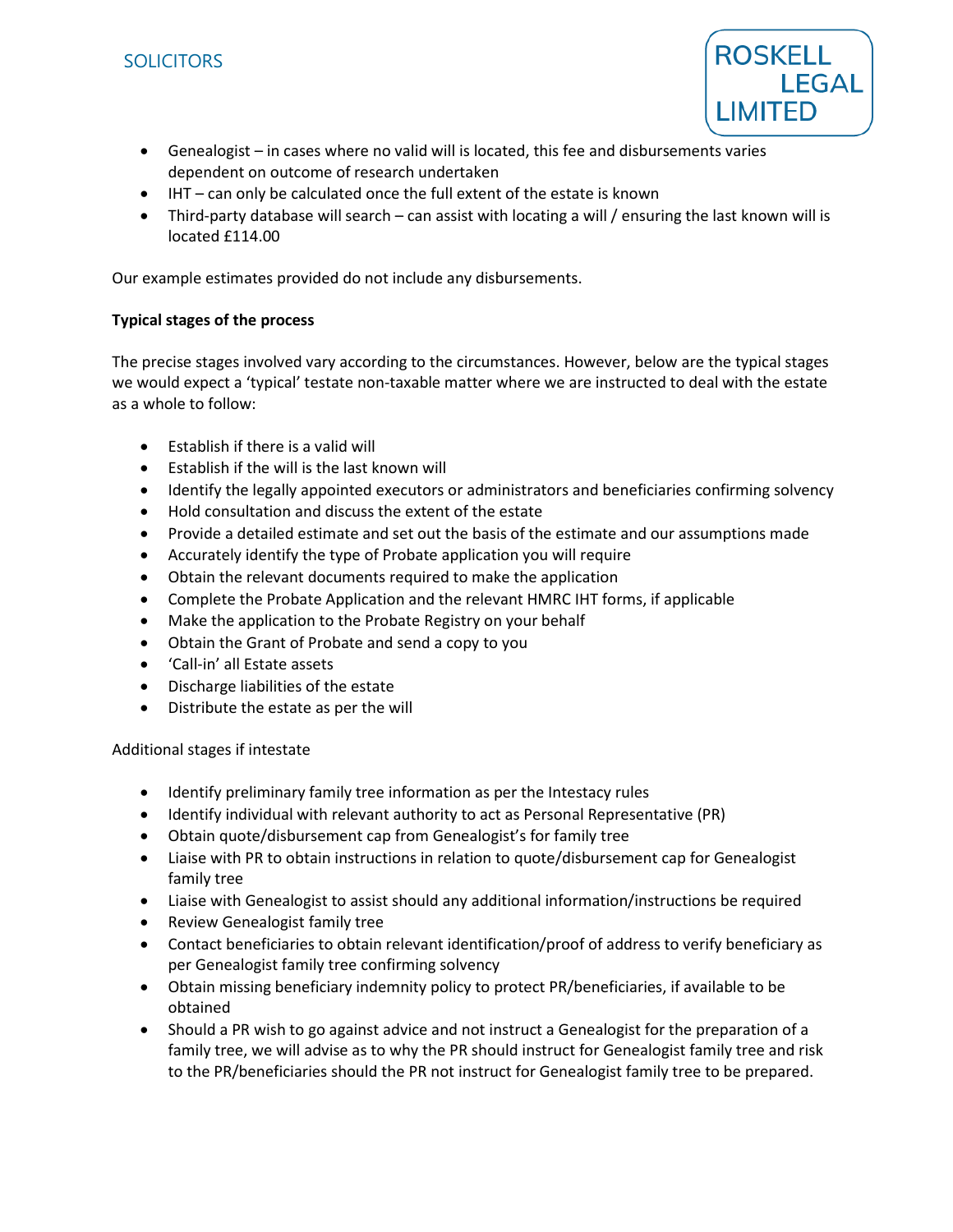

- Genealogist in cases where no valid will is located, this fee and disbursements varies dependent on outcome of research undertaken
- IHT can only be calculated once the full extent of the estate is known
- Third-party database will search can assist with locating a will / ensuring the last known will is located £114.00

Our example estimates provided do not include any disbursements.

## **Typical stages of the process**

The precise stages involved vary according to the circumstances. However, below are the typical stages we would expect a 'typical' testate non-taxable matter where we are instructed to deal with the estate as a whole to follow:

- Establish if there is a valid will
- Establish if the will is the last known will
- Identify the legally appointed executors or administrators and beneficiaries confirming solvency
- Hold consultation and discuss the extent of the estate
- Provide a detailed estimate and set out the basis of the estimate and our assumptions made
- Accurately identify the type of Probate application you will require
- Obtain the relevant documents required to make the application
- Complete the Probate Application and the relevant HMRC IHT forms, if applicable
- Make the application to the Probate Registry on your behalf
- Obtain the Grant of Probate and send a copy to you
- 'Call-in' all Estate assets
- Discharge liabilities of the estate
- Distribute the estate as per the will

Additional stages if intestate

- Identify preliminary family tree information as per the Intestacy rules
- Identify individual with relevant authority to act as Personal Representative (PR)
- Obtain quote/disbursement cap from Genealogist's for family tree
- Liaise with PR to obtain instructions in relation to quote/disbursement cap for Genealogist family tree
- Liaise with Genealogist to assist should any additional information/instructions be required
- Review Genealogist family tree
- Contact beneficiaries to obtain relevant identification/proof of address to verify beneficiary as per Genealogist family tree confirming solvency
- Obtain missing beneficiary indemnity policy to protect PR/beneficiaries, if available to be obtained
- Should a PR wish to go against advice and not instruct a Genealogist for the preparation of a family tree, we will advise as to why the PR should instruct for Genealogist family tree and risk to the PR/beneficiaries should the PR not instruct for Genealogist family tree to be prepared.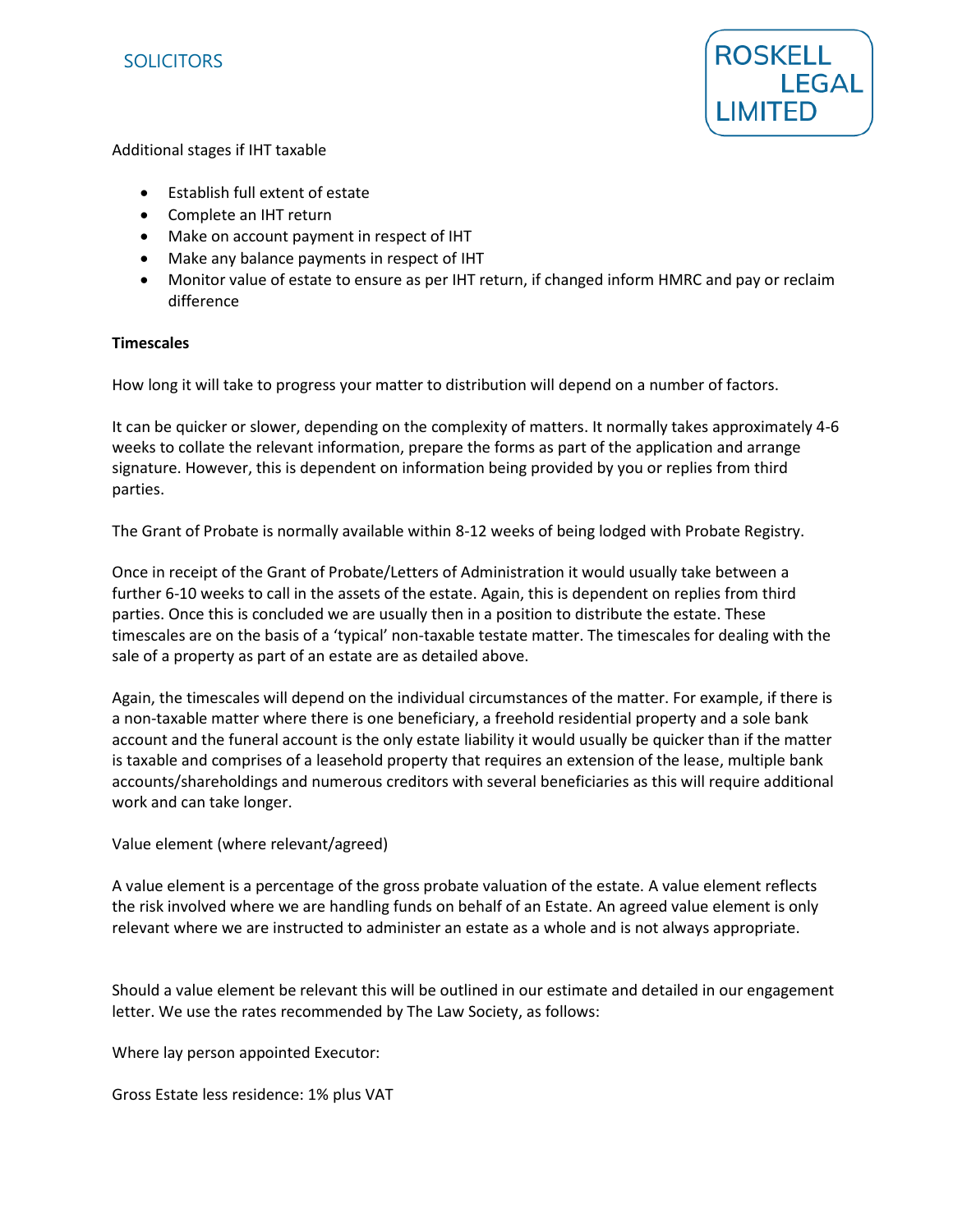



### Additional stages if IHT taxable

- Establish full extent of estate
- Complete an IHT return
- Make on account payment in respect of IHT
- Make any balance payments in respect of IHT
- Monitor value of estate to ensure as per IHT return, if changed inform HMRC and pay or reclaim difference

### **Timescales**

How long it will take to progress your matter to distribution will depend on a number of factors.

It can be quicker or slower, depending on the complexity of matters. It normally takes approximately 4-6 weeks to collate the relevant information, prepare the forms as part of the application and arrange signature. However, this is dependent on information being provided by you or replies from third parties.

The Grant of Probate is normally available within 8-12 weeks of being lodged with Probate Registry.

Once in receipt of the Grant of Probate/Letters of Administration it would usually take between a further 6-10 weeks to call in the assets of the estate. Again, this is dependent on replies from third parties. Once this is concluded we are usually then in a position to distribute the estate. These timescales are on the basis of a 'typical' non-taxable testate matter. The timescales for dealing with the sale of a property as part of an estate are as detailed above.

Again, the timescales will depend on the individual circumstances of the matter. For example, if there is a non-taxable matter where there is one beneficiary, a freehold residential property and a sole bank account and the funeral account is the only estate liability it would usually be quicker than if the matter is taxable and comprises of a leasehold property that requires an extension of the lease, multiple bank accounts/shareholdings and numerous creditors with several beneficiaries as this will require additional work and can take longer.

Value element (where relevant/agreed)

A value element is a percentage of the gross probate valuation of the estate. A value element reflects the risk involved where we are handling funds on behalf of an Estate. An agreed value element is only relevant where we are instructed to administer an estate as a whole and is not always appropriate.

Should a value element be relevant this will be outlined in our estimate and detailed in our engagement letter. We use the rates recommended by The Law Society, as follows:

Where lay person appointed Executor:

Gross Estate less residence: 1% plus VAT